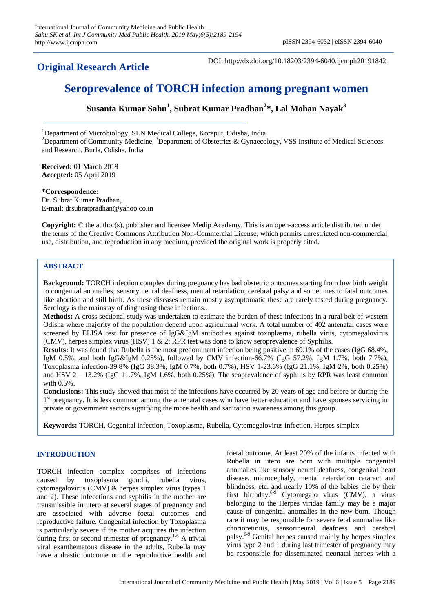**Original Research Article**

DOI: http://dx.doi.org/10.18203/2394-6040.ijcmph20191842

# **Seroprevalence of TORCH infection among pregnant women**

**Susanta Kumar Sahu<sup>1</sup> , Subrat Kumar Pradhan<sup>2</sup> \*, Lal Mohan Nayak<sup>3</sup>**

<sup>1</sup>Department of Microbiology, SLN Medical College, Koraput, Odisha, India <sup>2</sup>Department of Community Medicine, <sup>3</sup>Department of Obstetrics & Gynaecology, VSS Institute of Medical Sciences and Research, Burla, Odisha, India

**Received:** 01 March 2019 **Accepted:** 05 April 2019

### **\*Correspondence:**

Dr. Subrat Kumar Pradhan, E-mail: drsubratpradhan@yahoo.co.in

**Copyright:** © the author(s), publisher and licensee Medip Academy. This is an open-access article distributed under the terms of the Creative Commons Attribution Non-Commercial License, which permits unrestricted non-commercial use, distribution, and reproduction in any medium, provided the original work is properly cited.

# **ABSTRACT**

**Background:** TORCH infection complex during pregnancy has bad obstetric outcomes starting from low birth weight to congenital anomalies, sensory neural deafness, mental retardation, cerebral palsy and sometimes to fatal outcomes like abortion and still birth. As these diseases remain mostly asymptomatic these are rarely tested during pregnancy. Serology is the mainstay of diagnosing these infections..

**Methods:** A cross sectional study was undertaken to estimate the burden of these infections in a rural belt of western Odisha where majority of the population depend upon agricultural work. A total number of 402 antenatal cases were screened by ELISA test for presence of IgG&IgM antibodies against toxoplasma, rubella virus, cytomegalovirus (CMV), herpes simplex virus (HSV) 1 & 2; RPR test was done to know seroprevalence of Syphilis.

**Results:** It was found that Rubella is the most predominant infection being positive in 69.1% of the cases (IgG 68.4%, IgM 0.5%, and both IgG&IgM 0.25%), followed by CMV infection-66.7% (IgG 57.2%, IgM 1.7%, both 7.7%), Toxoplasma infection-39.8% (IgG 38.3%, IgM 0.7%, both 0.7%), HSV 1-23.6% (IgG 21.1%, IgM 2%, both 0.25%) and HSV  $2 - 13.2\%$  (IgG 11.7%, IgM 1.6%, both 0.25%). The seoprevalence of syphilis by RPR was least common with 0.5%.

**Conclusions:** This study showed that most of the infections have occurred by 20 years of age and before or during the 1<sup>st</sup> pregnancy. It is less common among the antenatal cases who have better education and have spouses servicing in private or government sectors signifying the more health and sanitation awareness among this group.

**Keywords:** TORCH, Cogenital infection, Toxoplasma, Rubella, Cytomegalovirus infection, Herpes simplex

# **INTRODUCTION**

TORCH infection complex comprises of infections caused by toxoplasma gondii, rubella virus, cytomegalovirus (CMV) & herpes simplex virus (types 1 and 2). These infecctions and syphilis in the mother are transmissible in utero at several stages of pregnancy and are associated with adverse foetal outcomes and reproductive failure. Congenital infection by Toxoplasma is particularly severe if the mother acquires the infection during first or second trimester of pregnancy.<sup>1-6</sup> A trivial viral exanthematous disease in the adults, Rubella may have a drastic outcome on the reproductive health and foetal outcome. At least 20% of the infants infected with Rubella in utero are born with multiple congenital anomalies like sensory neural deafness, congenital heart disease, microcephaly, mental retardation cataract and blindness, etc. and nearly 10% of the babies die by their first birthday.6-9 Cytomegalo virus (CMV), a virus belonging to the Herpes viridae family may be a major cause of congenital anomalies in the new-born. Though rare it may be responsible for severe fetal anomalies like chorioretinitis, sensorineural deafness and cerebral palsy.6-9 Genital herpes caused mainly by herpes simplex virus type 2 and 1 during last trimester of pregnancy may be responsible for disseminated neonatal herpes with a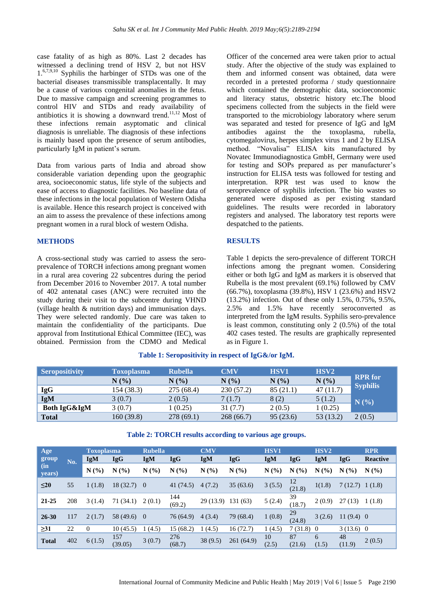case fatality of as high as 80%. Last 2 decades has witnessed a declining trend of HSV 2, but not HSV 1.6,7,9,10 Syphilis the harbinger of STDs was one of the bacterial diseases transmissible transplacentally. It may be a cause of various congenital anomalies in the fetus. Due to massive campaign and screening programmes to control HIV and STDs and ready availability of antibiotics it is showing a downward trend.11,12 Most of these infections remain asyptomatic and clinical diagnosis is unreliable. The diagnosis of these infections is mainly based upon the presence of serum antibodies, particularly IgM in patient's serum.

Data from various parts of India and abroad show considerable variation depending upon the geographic area, socioeconomic status, life style of the subjects and ease of access to diagnostic facilities. No baseline data of these infections in the local population of Western Odisha is available. Hence this research project is conceived with an aim to assess the prevalence of these infections among pregnant women in a rural block of western Odisha.

#### **METHODS**

A cross-sectional study was carried to assess the seroprevalence of TORCH infections among pregnant women in a rural area covering 22 subcentres during the period from December 2016 to November 2017. A total number of 402 antenatal cases (ANC) were recruited into the study during their visit to the subcentre during VHND (village health & nutrition days) and immunisation days. They were selected randomly. Due care was taken to maintain the confidentiality of the participants. Due approval from Institutional Ethical Committee (IEC), was obtained. Permission from the CDMO and Medical Officer of the concerned area were taken prior to actual study. After the objective of the study was explained to them and informed consent was obtained, data were recorded in a pretested proforma / study questionnaire which contained the demographic data, socioeconomic and literacy status, obstetric history etc.The blood specimens collected from the subjects in the field were transported to the microbiology laboratory where serum was separated and tested for presence of IgG and IgM antibodies against the the toxoplasma, rubella, cytomegalovirus, herpes simplex virus 1 and 2 by ELISA method. "Novalisa" ELISA kits manufactured by Novatec Immunodiagnostica GmbH, Germany were used for testing and SOPs prepared as per manufacturer's instruction for ELISA tests was followed for testing and interpretation. RPR test was used to know the seroprevalence of syphilis infection. The bio wastes so generated were disposed as per existing standard guidelines. The results were recorded in laboratory registers and analysed. The laboratory test reports were despatched to the patients.

#### **RESULTS**

Table 1 depicts the sero-prevalence of different TORCH infections among the pregnant women. Considering either or both IgG and IgM as markers it is observed that Rubella is the most prevalent (69.1%) followed by CMV (66.7%), toxoplasma (39.8%), HSV 1 (23.6%) and HSV2 (13.2%) infection. Out of these only 1.5%, 0.75%, 9.5%, 2.5% and 1.5% have recently seroconverted as interpreted from the IgM results. Syphilis sero-prevalence is least common, constituting only 2 (0.5%) of the total 402 cases tested. The results are graphically represented as in Figure 1.

| <b>Seropositivity</b> | <b>Toxoplasma</b> | <b>Rubella</b> | <b>CMV</b> | <b>HSV1</b> | HSV <sub>2</sub> | <b>RPR</b> for  |
|-----------------------|-------------------|----------------|------------|-------------|------------------|-----------------|
|                       | N(%               | N(%            | N(%        | N(%         | N(%)             |                 |
| <b>IgG</b>            | 154 (38.3)        | 275 (68.4)     | 230(57.2)  | 85(21.1)    | 47(11.7)         | <b>Syphilis</b> |
| IgM                   | 3(0.7)            | 2(0.5)         | 7(1.7)     | 8(2)        | 5(1.2)           | N(%)            |
| Both IgG&IgM          | 3(0.7)            | 1(0.25)        | 31 (7.7)   | 2(0.5)      | 1(0.25)          |                 |
| <b>Total</b>          | 160 (39.8)        | 278 (69.1)     | 268 (66.7) | 95(23.6)    | 53 (13.2)        | 2(0.5)          |

# **Table 1: Seropositivity in respect of IgG&/or IgM.**

| Age<br>group<br>(in<br>years) |     | <b>Toxoplasma</b> |                | <b>Rubella</b> |               | <b>CMV</b> |            | <b>HSV1</b> |              | HSV <sub>2</sub> |              | <b>RPR</b>      |
|-------------------------------|-----|-------------------|----------------|----------------|---------------|------------|------------|-------------|--------------|------------------|--------------|-----------------|
|                               | No. | <b>IgM</b>        | <b>IgG</b>     | IgM            | <b>IgG</b>    | IgM        | <b>IgG</b> | IgM         | <b>IgG</b>   | <b>IgM</b>       | <b>IgG</b>   | <b>Reactive</b> |
|                               |     | N(%               | N(%)           | N(%            | N(%           | N(%        | N(%        | N(%         | N(%          | N(%              | N(%          | N(%)            |
| $\leq$ 20                     | 55  | 1(1.8)            | $18(32.7)$ 0   |                | 41 (74.5)     | 4(7.2)     | 35(63.6)   | 3(5.5)      | 12<br>(21.8) | 1(1.8)           | 7(12.7)      | 1(1.8)          |
| $21 - 25$                     | 208 | 3(1.4)            | 71 (34.1)      | 2(0.1)         | 144<br>(69.2) | 29(13.9)   | 131(63)    | 5(2.4)      | 39<br>(18.7) | 2(0.9)           | 27(13)       | 1(1.8)          |
| $26 - 30$                     | 117 | 2(1.7)            | $58(49.6)$ 0   |                | 76 (64.9)     | 4(3.4)     | 79 (68.4)  | 1(0.8)      | 29<br>(24.8) | 3(2.6)           | $11(9.4)$ 0  |                 |
| $\geq 31$                     | 22  | $\overline{0}$    | 10(45.5)       | 1(4.5)         | 15(68.2)      | (4.5)      | 16(72.7)   | 1(4.5)      | $7(31.8)$ 0  |                  | $3(13.6)$ 0  |                 |
| <b>Total</b>                  | 402 | 6(1.5)            | 157<br>(39.05) | 3(0.7)         | 276<br>(68.7) | 38(9.5)    | 261 (64.9) | 10<br>(2.5) | 87<br>(21.6) | 6<br>(1.5)       | 48<br>(11.9) | 2(0.5)          |

# **Table 2: TORCH results according to various age groups.**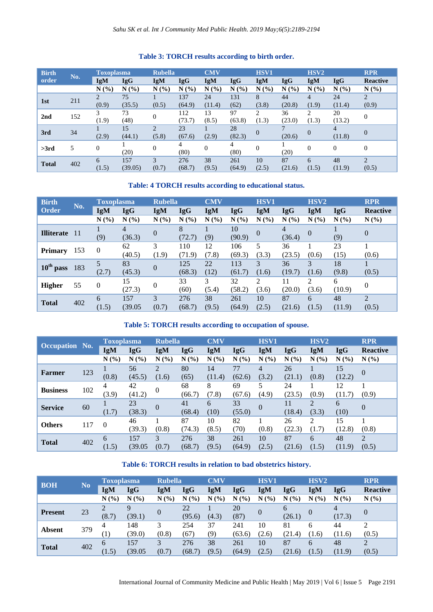| <b>Birth</b> |     | <b>Toxoplasma</b> |            | <b>Rubella</b>              |            | <b>CMV</b> | <b>HSV1</b> |                |             | HSV <sub>2</sub> |            | <b>RPR</b>      |
|--------------|-----|-------------------|------------|-----------------------------|------------|------------|-------------|----------------|-------------|------------------|------------|-----------------|
| order        | No. | <b>IgM</b>        | <b>IgG</b> | IgM                         | <b>IgG</b> | IgM        | <b>IgG</b>  | IgM            | <b>IgG</b>  | <b>IgM</b>       | <b>IgG</b> | <b>Reactive</b> |
|              |     | N(%)              | N(%)       | N(%)                        | N(%)       | N(%        | N(%)        | N(%)           | N<br>$($ %) | N(%)             | N(%        | N(%)            |
| 1st          | 211 | 2                 | 75         |                             | 137        | 24         | 131         | 8              | 44          | 4                | 24         | $\overline{2}$  |
|              |     | (0.9)             | (35.5)     | (0.5)                       | (64.9)     | (11.4)     | (62)        | (3.8)          | (20.8)      | (1.9)            | (11.4)     | (0.9)           |
| 2nd          | 152 | 3                 | 73         | $\mathbf{0}$                | 112        | 13         | 97          | 2              | 36          | $\overline{c}$   | 20         | $\mathbf{0}$    |
|              |     | (1.9)             | (48)       |                             | (73.7)     | (8.5)      | (63.8)      | (1.3)          | (23.0)      | (1.3)<br>(13.2)  |            |                 |
| 3rd          | 34  |                   | 15         | $\mathcal{D}_{\mathcal{L}}$ | 23         |            | 28          | $\overline{0}$ |             | $\overline{0}$   | 4          | $\overline{0}$  |
|              |     | (2.9)             | (44.1)     | (5.8)                       | (67.6)     | (2.9)      | (82.3)      |                | (20.6)      |                  | (11.8)     |                 |
| >3rd         | 5   | $\boldsymbol{0}$  |            | $\mathbf{0}$                | 4          | $\theta$   | 4           | $\mathbf{0}$   |             | $\Omega$         | $\Omega$   | $\mathbf{0}$    |
|              |     |                   | (20)       |                             | (80)       |            | (80)        |                | (20)        |                  |            |                 |
| <b>Total</b> | 402 | 6                 | 157        | 3                           | 276        | 38         | 261         | 10             | 87          | 6                | 48         | $\overline{2}$  |
|              |     | (1.5)             | (39.05)    | (0.7)                       | (68.7)     | (9.5)      | (64.9)      | (2.5)          | (21.6)      | (1.5)            | (11.9)     | (0.5)           |

# **Table 3: TORCH results according to birth order.**

# **Table: 4 TORCH results according to educational status.**

| <b>Birth</b><br>No.      |     | Toxoplasma   |                | <b>Rubella</b> |               | <b>CMV</b>  |               | <b>HSV1</b>             |              | HSV <sub>2</sub>                  |              | <b>RPR</b>              |
|--------------------------|-----|--------------|----------------|----------------|---------------|-------------|---------------|-------------------------|--------------|-----------------------------------|--------------|-------------------------|
| Order                    |     | IgM          | <b>IgG</b>     | <b>IgM</b>     | <b>IgG</b>    | IgM         | <b>IgG</b>    | <b>IgM</b>              | <b>IgG</b>   | <b>IgM</b>                        | <b>IgG</b>   | <b>Reactive</b>         |
|                          |     | N(%)         | N(%)           | N(%)           | N(%           | N(%         | N(%)          | N(%)                    | N(%)         | N(%)                              | N(%)         | $N(\%)$                 |
| <b>Illiterate</b>        | -11 | (9)          | 4<br>(36.3)    | $\theta$       | 8<br>(72.7)   | (9)         | 10<br>(90.9)  | $\Omega$                | 4<br>(36.4)  | $\overline{0}$                    | (9)          | $\overline{0}$          |
| <b>Primary</b>           | 153 | $\mathbf{0}$ | 62<br>(40.5)   | 3<br>(1.9)     | 110<br>(71.9) | 12<br>(7.8) | 106<br>(69.3) | 5<br>(3.3)              | 36<br>(23.5) | (0.6)                             | 23<br>(15)   | (0.6)                   |
| $10^{\text{th}}$<br>pass | 183 | 5<br>(2.7)   | 83<br>(45.3)   | $\theta$       | 125<br>(68.3) | 22<br>(12)  | 113<br>(61.7) | 3<br>(1.6)              | 36<br>(19.7) | 3<br>(1.6)                        | 18<br>(9.8)  | (0.5)                   |
| <b>Higher</b>            | 55  | 0            | 15<br>(27.3)   | $\theta$       | 33<br>(60)    | 3<br>(5.4)  | 32<br>(58.2)  | $\overline{c}$<br>(3.6) | 11<br>(20.0) | $\overline{\mathcal{L}}$<br>(3.6) | 6<br>(10.9)  | 0                       |
| <b>Total</b>             | 402 | 6<br>(1.5)   | 157<br>(39.05) | 3<br>(0.7)     | 276<br>(68.7) | 38<br>(9.5) | 261<br>(64.9) | 10<br>(2.5)             | 87<br>(21.6) | 6<br>(1.5)                        | 48<br>(11.9) | $\mathfrak{D}$<br>(0.5) |

**Table 5: TORCH results according to occupation of spouse.** 

|                       |     | <b>Toxoplasma</b> |            | <b>Rubella</b> |            | <b>CMV</b> |            | HSV1       |            | HSV <sub>2</sub> |            | <b>RPR</b>      |
|-----------------------|-----|-------------------|------------|----------------|------------|------------|------------|------------|------------|------------------|------------|-----------------|
| <b>Occupation No.</b> |     | IgM               | <b>IgG</b> | <b>IgM</b>     | <b>IgG</b> | IgM        | <b>IgG</b> | <b>IgM</b> | <b>IgG</b> | <b>IgM</b>       | <b>IgG</b> | <b>Reactive</b> |
|                       |     | N(%)              | N(%)       | N(%)           | N(%        | N(%        | N(%)       | N(%)       | N(%        | N(%)             | N(%)       | N(%)            |
| Farmer                | 123 |                   | 56         | $\overline{2}$ | 80         | 14         | 77         | 4          | 26         |                  | 15         | $\theta$        |
|                       |     | (0.8)             | (45.5)     | (1.6)          | (65)       | (11.4)     | (62.6)     | (3.2)      | (21.1)     | (0.8)            | (12.2)     |                 |
| <b>Business</b>       | 102 | 4                 | 42         | $\Omega$       | 68         | 8          | 69         | 5          | 24         |                  | 12         |                 |
|                       |     | (3.9)             | (41.2)     |                | (66.7)     | (7.8)      | (67.6)     | (4.9)      | (23.5)     | (0.9)            | (11.7)     | (0.9)           |
| <b>Service</b>        | 60  |                   | 23         | $\Omega$       | 41         | 6          | 33         | $\Omega$   | 11         | $\overline{2}$   | 6          | $\Omega$        |
|                       |     | (1.7)             | (38.3)     |                | (68.4)     | (10)       | (55.0)     |            | (18.4)     | (3.3)            | (10)       |                 |
| <b>Others</b>         | 117 | $\Omega$          | 46         |                | 87         | 10         | 82         |            | 26         | ↑                | 15         |                 |
|                       |     |                   | (39.3)     | (0.8)          | (74.3)     | (8.5)      | (70)       | (0.8)      | (22.3)     | (1.7)            | (12.8)     | (0.8)           |
| <b>Total</b>          |     | 6                 | 157        | 3              | 276        | 38         | 261        | 10         | 87         | 6                | 48         | 2               |
|                       | 402 | (1.5)             | (39.05)    | (0.7)          | (68.7)     | (9.5)      | (64.9)     | (2.5)      | (21.6)     | (1.5)            | (11.9)     | (0.5)           |

# **Table 6: TORCH results in relation to bad obstetrics history.**

|                |                | <b>Toxoplasma</b>     |                       | <b>Rubella</b>        |               | <b>CMV</b>  |               | <b>HSV1</b>    |              | HSV <sub>2</sub> |              | <b>RPR</b>      |
|----------------|----------------|-----------------------|-----------------------|-----------------------|---------------|-------------|---------------|----------------|--------------|------------------|--------------|-----------------|
| <b>BOH</b>     | N <sub>0</sub> | <b>IgM</b>            | <b>IgG</b>            | <b>IgM</b>            | <b>IgG</b>    | IgM         | <b>IgG</b>    | <b>IgM</b>     | <b>IgG</b>   | IgM              | <b>IgG</b>   | <b>Reactive</b> |
|                |                | N(%)                  | N(%                   | N(%)                  | N(%)          | N(%)        | N(%)          | N(%)           | N(%)         | N(%)             | N(%)         | N(%)            |
| <b>Present</b> | 23             | (8.7)                 | $\mathbf Q$<br>(39.1) | $\overline{0}$        | 22<br>(95.6)  | (4.3)       | 20<br>(87)    | $\overline{0}$ | 6<br>(26.1)  | $\Omega$         | 4<br>(17.3)  | 0               |
| <b>Absent</b>  | 379            | 4<br>$\left(1\right)$ | 148<br>(39.0)         | 3<br>(0.8)            | 254<br>(67)   | 37<br>(9)   | 241<br>(63.6) | 10<br>(2.6)    | 81<br>(21.4) | 6<br>(1.6)       | 44<br>(11.6) | 2<br>(0.5)      |
| <b>Total</b>   | 402            | 6<br>1.5)             | 157<br>(39.05         | $\mathbf{R}$<br>(0.7) | 276<br>(68.7) | 38<br>(9.5) | 261<br>(64.9) | 10<br>(2.5)    | 87<br>(21.6) | 6<br>(1.5)       | 48<br>(11.9) | 2<br>(0.5)      |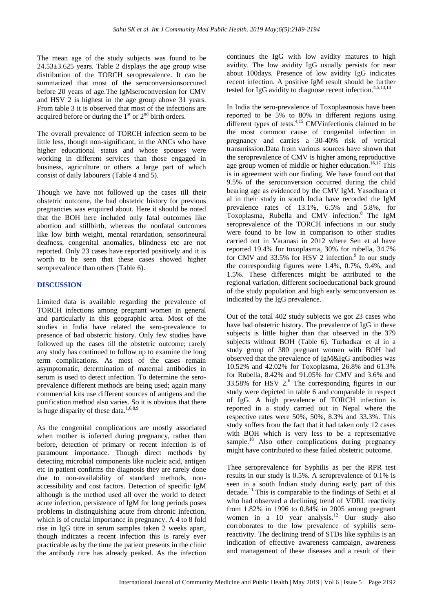The mean age of the study subjects was found to be  $24.53\pm3.625$  years. Table 2 displays the age group wise distribution of the TORCH seroprevalence. It can be summarized that most of the seroconversionsoccured before 20 years of age.The IgMseroconversion for CMV and HSV 2 is highest in the age group above 31 years. From table 3 it is observed that most of the infections are acquired before or during the  $1<sup>st</sup>$  or  $2<sup>nd</sup>$  birth orders.

The overall prevalence of TORCH infection seem to be little less, though non-significant, in the ANCs who have higher educational status and whose spouses were working in different services than those engaged in business, agriculture or others a large part of which consist of daily labourers (Table 4 and 5).

Though we have not followed up the cases till their obstetric outcome, the bad obstetric history for previous pregnancies was enquired about. Here it should be noted that the BOH here included only fatal outcomes like abortion and stillbirth, whereas the nonfatal outcomes like low birth weight, mental retardation, sensorineural deafness, congenital anomalies, blindness etc are not reported. Only 23 cases have reported positively and it is worth to be seen that these cases showed higher seroprevalence than others (Table 6).

### **DISCUSSION**

Limited data is available regarding the prevalence of TORCH infections among pregnant women in general and particularly in this geographic area. Most of the studies in India have related the sero-prevalence to presence of bad obstetric history. Only few studies have followed up the cases till the obstetric outcome; rarely any study has continued to follow up to examine the long term complications. As most of the cases remain asymptomatic, determination of maternal antibodies in serum is used to detect infection. To determine the seroprevalence different methods are being used; again many commercial kits use different sources of antigens and the purification method also varies. So it is obvious that there is huge disparity of these data. $1,6,8,9$ 

As the congenital complications are mostly associated when mother is infected during pregnancy, rather than before, detection of primary or recent infection is of paramount importance. Though direct methods by detecting microbial components like nucleic acid, antigen etc in patient confirms the diagnosis they are rarely done due to non-availability of standard methods, nonaccessibility and cost factors. Detection of specific IgM although is the method used all over the world to detect acute infection, persistence of IgM for long periods poses problems in distinguishing acute from chronic infection, which is of crucial importance in pregnancy. A 4 to 8 fold rise in IgG titre in serum samples taken 2 weeks apart, though indicates a recent infection this is rarely ever practicable as by the time the patient presents in the clinic the antibody titre has already peaked. As the infection continues the IgG with low avidity matures to high avidity. The low avidity IgG usually persists for near about 100days. Presence of low avidity IgG indicates recent infection. A positive IgM result should be further tested for IgG avidity to diagnose recent infection.<sup>4,5,13,14</sup>

In India the sero-prevalence of Toxoplasmosis have been reported to be 5% to 80% in different regions using different types of tests.<sup>4,15</sup> CMVinfectionis claimed to be the most common cause of congenital infection in pregnancy and carries a 30-40% risk of vertical transmission.Data from various sources have shown that the seroprevalence of CMV is higher among reproductive age group women of middle or higher education. 16,17 This is in agreement with our finding. We have found out that 9.5% of the seroconversion occurred during the child bearing age as evidenced by the CMV IgM. Yasodhara et al in their study in south India have recorded the IgM prevalence rates of 13.1%, 6.5% and 5.8%, for Toxoplasma, Rubella and CMV infection.<sup>8</sup> The IgM seroprevalence of the TORCH infections in our study were found to be low in comparison to other studies carried out in Varanasi in 2012 where Sen et al have reported 19.4% for toxoplasma, 30% for rubella, 34.7% for CMV and 33.5% for HSV 2 infection.<sup>9</sup> In our study the corresponding figures were 1.4%, 0.7%, 9.4%, and 1.5%. These differences might be attributed to the regional variation, different socioeducational back ground of the study population and high early seroconversion as indicated by the IgG prevalence.

Out of the total 402 study subjects we got 23 cases who have bad obstetric history. The prevalence of IgG in these subjects is little higher than that observed in the 379 subjects without BOH (Table 6). Turbadkar et al in a study group of 380 pregnant women with BOH had observed that the prevalence of IgM&IgG antibodies was 10.52% and 42.02% for Toxoplasma, 26.8% and 61.3% for Rubella, 8.42% and 91.05% for CMV and 3.6% and 33.58% for HSV  $2.6$  The corresponding figures in our study were depicted in table 6 and comparable in respect of IgG. A high prevalence of TORCH infection is reported in a study carried out in Nepal where the respective rates were 50%, 50%, 8.3% and 33.3%. This study suffers from the fact that it had taken only 12 cases with BOH which is very less to be a representative sample.<sup>18</sup> Also other complications during pregnancy might have contributed to these failed obstetric outcome.

Thee seroprevalence for Syphilis as per the RPR test results in our study is 0.5%. A seroprevalence of 0.1% is seen in a south Indian study during early part of this decade.<sup>11</sup> This is comparable to the findings of Sethi et al who had observed a declining trend of VDRL reactivity from 1.82% in 1996 to 0.84% in 2005 among pregnant women in a 10 year analysis.<sup>12</sup> Our study also corroborates to the low prevalence of syphilis seroreactivity. The declining trend of STDs like syphilis is an indication of effective awareness campaign, awareness and management of these diseases and a result of their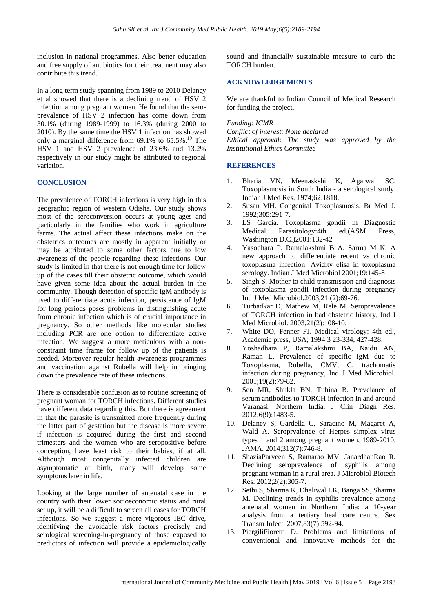inclusion in national programmes. Also better education and free supply of antibiotics for their treatment may also contribute this trend.

In a long term study spanning from 1989 to 2010 Delaney et al showed that there is a declining trend of HSV 2 infection among pregnant women. He found that the seroprevalence of HSV 2 infection has come down from 30.1% (during 1989-1999) to 16.3% (during 2000 to 2010). By the same time the HSV 1 infection has showed only a marginal difference from  $69.1\%$  to  $65.5\%$ .<sup>19</sup> The HSV 1 and HSV 2 prevalence of 23.6% and 13.2% respectively in our study might be attributed to regional variation.

# **CONCLUSION**

The prevalence of TORCH infections is very high in this geographic region of western Odisha. Our study shows most of the seroconversion occurs at young ages and particularly in the families who work in agriculture farms. The actual affect these infections make on the obstetrics outcomes are mostly in apparent initially or may be attributed to some other factors due to low awareness of the people regarding these infections. Our study is limited in that there is not enough time for follow up of the cases till their obstetric outcome, which would have given some idea about the actual burden in the community. Though detection of specific IgM antibody is used to differentiate acute infection, persistence of IgM for long periods poses problems in distinguishing acute from chronic infection which is of crucial importance in pregnancy. So other methods like molecular studies including PCR are one option to differentiate active infection. We suggest a more meticulous with a nonconstraint time frame for follow up of the patients is needed. Moreover regular health awareness programmes and vaccination against Rubella will help in bringing down the prevalence rate of these infections.

There is considerable confusion as to routine screening of pregnant woman for TORCH infections. Different studies have different data regarding this. But there is agreement in that the parasite is transmitted more frequently during the latter part of gestation but the disease is more severe if infection is acquired during the first and second trimesters and the women who are seropositive before conception, have least risk to their babies, if at all. Although most congenitally infected children are asymptomatic at birth, many will develop some symptoms later in life.

Looking at the large number of antenatal case in the country with their lower socioeconomic status and rural set up, it will be a difficult to screen all cases for TORCH infections. So we suggest a more vigorous IEC drive, identifying the avoidable risk factors precisely and serological screening-in-pregnancy of those exposed to predictors of infection will provide a epidemiologically sound and financially sustainable measure to curb the TORCH burden.

# **ACKNOWLEDGEMENTS**

We are thankful to Indian Council of Medical Research for funding the project.

### *Funding: ICMR*

*Conflict of interest: None declared Ethical approval: The study was approved by the Institutional Ethics Committee*

# **REFERENCES**

- 1. Bhatia VN, Meenaskshi K, Agarwal SC. Toxoplasmosis in South India - a serological study. Indian J Med Res. 1974;62:1818.
- 2. Susan MH. Congenital Toxoplasmosis. Br Med J. 1992;305:291-7.
- 3. LS Garcia. Toxoplasma gondii in Diagnostic Medical Parasitology:4th ed.(ASM Press, Washington D.C.)2001:132-42
- 4. Yasodhara P, Ramalakshmi B A, Sarma M K. A new approach to differentiate recent vs chronic toxoplasma infection: Avidity elisa in toxoplasma serology. Indian J Med Microbiol 2001;19:145-8
- 5. Singh S. Mother to child transmission and diagnosis of toxoplasma gondii infection during pregnancy Ind J Med Microbiol.2003,21 (2):69-76.
- 6. Turbadkar D, Mathew M, Rele M. Seroprevalence of TORCH infection in bad obstetric history, Ind J Med Microbiol. 2003,21(2):108-10.
- 7. White DO, Fenner FJ. Medical virology: 4th ed., Academic press, USA; 1994:3 23-334, 427-428.
- 8. Yoshadhara P, Ramalakshmi BA, Naidu AN, Raman L. Prevalence of specific IgM due to Toxoplasma, Rubella, CMV, C. trachomatis infection during pregnancy, Ind J Med Microbiol. 2001;19(2):79-82.
- 9. Sen MR, Shukla BN, Tuhina B. Prevelance of serum antibodies to TORCH infection in and around Varanasi, Northern India. J Clin Diagn Res. 2012;6(9):1483-5.
- 10. Delaney S, Gardella C, Saracino M, Magaret A, Wald A. Seroprvalence of Herpes simplex virus types 1 and 2 among pregnant women, 1989-2010. JAMA. 2014;312(7):746-8.
- 11. ShaziaParveen S, Ramarao MV, JanardhanRao R. Declining seroprevalence of syphilis among pregnant woman in a rural area. J Microbiol Biotech Res. 2012;2(2):305-7.
- 12. Sethi S, Sharma K, Dhaliwal LK, Banga SS, Sharma M. Declining trends in syphilis prevalence among antenatal women in Northern India: a 10-year analysis from a tertiary healthcare centre. Sex Transm Infect. 2007,83(7):592-94.
- 13. PiergiliFioretti D. Problems and limitations of conventional and innovative methods for the